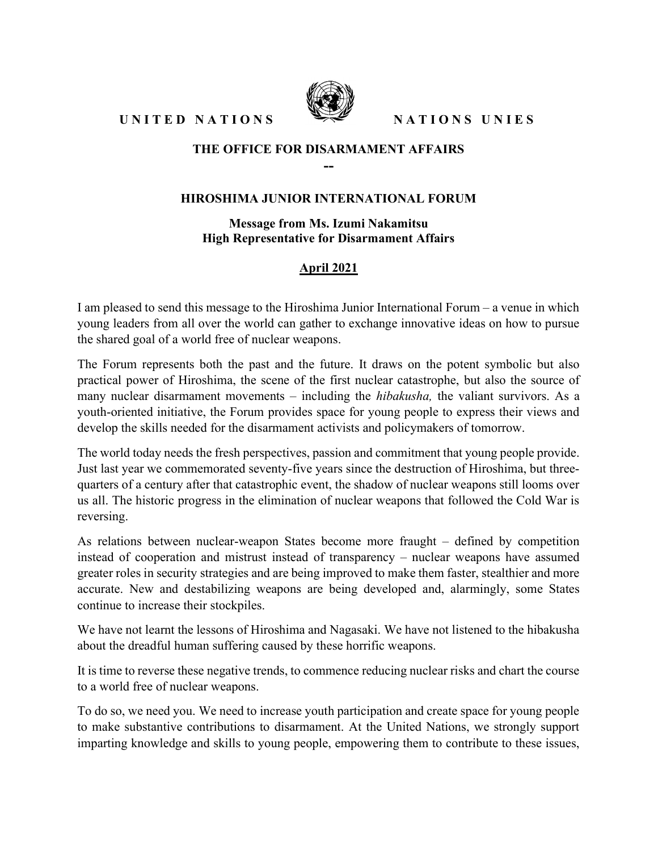UNITED NATIONS SEE NATIONS UNIES



## THE OFFICE FOR DISARMAMENT AFFAIRS --

## HIROSHIMA JUNIOR INTERNATIONAL FORUM

Message from Ms. Izumi Nakamitsu High Representative for Disarmament Affairs

## April 2021

I am pleased to send this message to the Hiroshima Junior International Forum – a venue in which young leaders from all over the world can gather to exchange innovative ideas on how to pursue the shared goal of a world free of nuclear weapons.

The Forum represents both the past and the future. It draws on the potent symbolic but also practical power of Hiroshima, the scene of the first nuclear catastrophe, but also the source of many nuclear disarmament movements – including the *hibakusha*, the valiant survivors. As a youth-oriented initiative, the Forum provides space for young people to express their views and develop the skills needed for the disarmament activists and policymakers of tomorrow.

The world today needs the fresh perspectives, passion and commitment that young people provide. Just last year we commemorated seventy-five years since the destruction of Hiroshima, but threequarters of a century after that catastrophic event, the shadow of nuclear weapons still looms over us all. The historic progress in the elimination of nuclear weapons that followed the Cold War is reversing.

As relations between nuclear-weapon States become more fraught – defined by competition instead of cooperation and mistrust instead of transparency – nuclear weapons have assumed greater roles in security strategies and are being improved to make them faster, stealthier and more accurate. New and destabilizing weapons are being developed and, alarmingly, some States continue to increase their stockpiles.

We have not learnt the lessons of Hiroshima and Nagasaki. We have not listened to the hibakusha about the dreadful human suffering caused by these horrific weapons.

It is time to reverse these negative trends, to commence reducing nuclear risks and chart the course to a world free of nuclear weapons.

To do so, we need you. We need to increase youth participation and create space for young people to make substantive contributions to disarmament. At the United Nations, we strongly support imparting knowledge and skills to young people, empowering them to contribute to these issues,